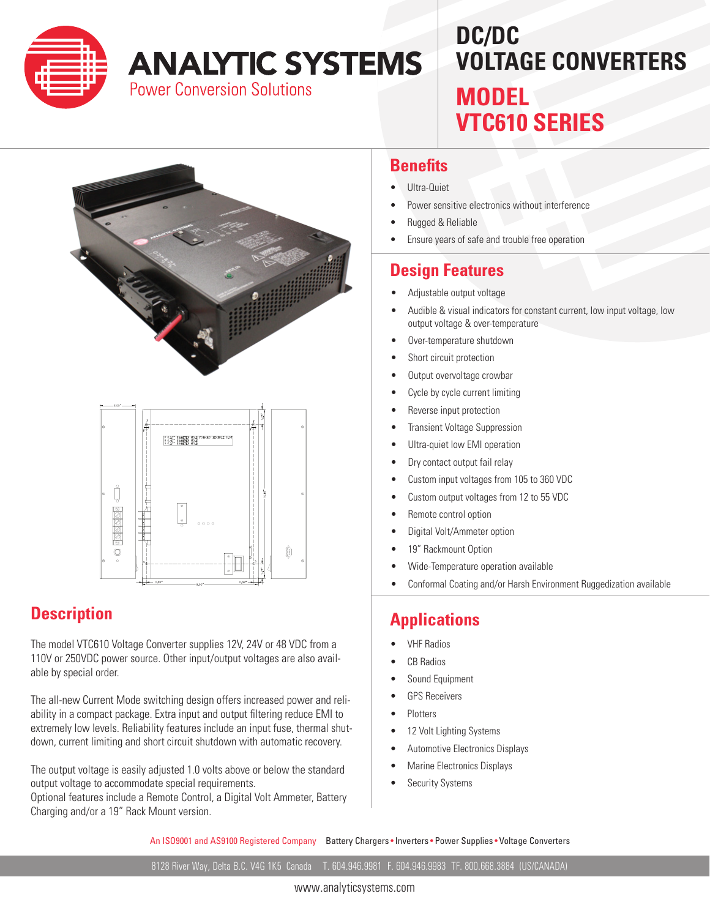

# **ANALYTIC SYSTEMS**

**Power Conversion Solutions** 

## **DC/DC VOLTAGE CONVERTERS MODEL VTC610 SERIES**



# adologa -—  $\ddot{\mathbf{O}}$

#### **Description**

The model VTC610 Voltage Converter supplies 12V, 24V or 48 VDC from a 110V or 250VDC power source. Other input/output voltages are also available by special order.

The all-new Current Mode switching design offers increased power and reliability in a compact package. Extra input and output filtering reduce EMI to extremely low levels. Reliability features include an input fuse, thermal shutdown, current limiting and short circuit shutdown with automatic recovery.

The output voltage is easily adjusted 1.0 volts above or below the standard output voltage to accommodate special requirements.

Optional features include a Remote Control, a Digital Volt Ammeter, Battery Charging and/or a 19" Rack Mount version.

#### **Benefits**

- Ultra-Quiet
- Power sensitive electronics without interference
- **Rugged & Reliable**
- Ensure years of safe and trouble free operation

#### **Design Features**

- • Adjustable output voltage
- Audible & visual indicators for constant current, low input voltage, low output voltage & over-temperature
- Over-temperature shutdown
- Short circuit protection
- • Output overvoltage crowbar
- Cycle by cycle current limiting
- Reverse input protection
- **Transient Voltage Suppression**
- Ultra-quiet low EMI operation
- Dry contact output fail relay
- Custom input voltages from 105 to 360 VDC
- Custom output voltages from 12 to 55 VDC
- Remote control option
- Digital Volt/Ammeter option
- 19" Rackmount Option
- Wide-Temperature operation available
- Conformal Coating and/or Harsh Environment Ruggedization available

#### **Applications**

- **VHF Radios**
- CB Radios
- Sound Equipment
- **GPS Receivers**
- **Plotters**
- 12 Volt Lighting Systems
- Automotive Electronics Displays
- **Marine Electronics Displays**
- **Security Systems**

An ISO9001 and AS9100 Registered Company Battery Chargers • Inverters • Power Supplies • Voltage Converters